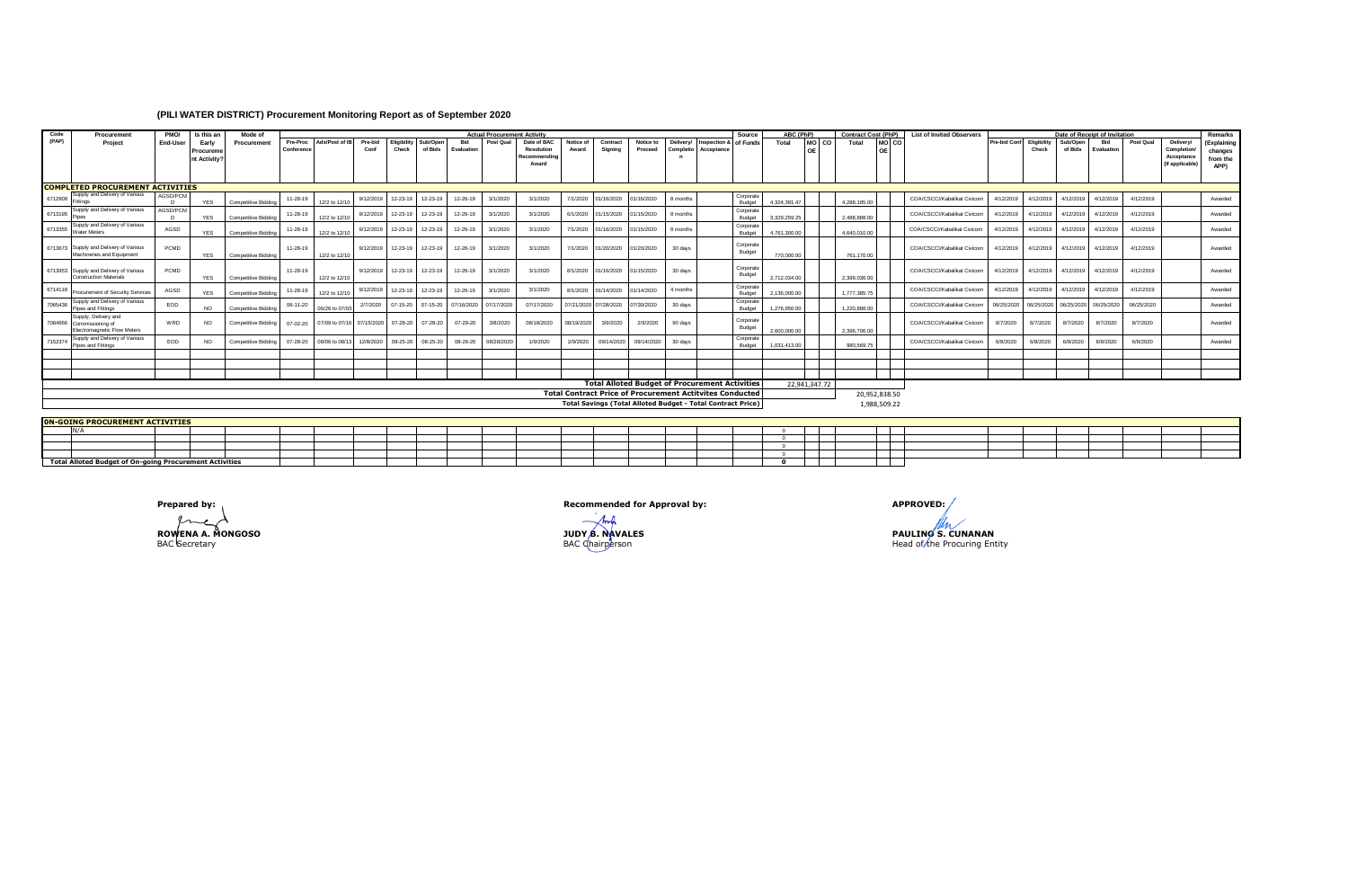## **(PILI WATER DISTRICT) Procurement Monitoring Report as of September 2020**

| Code                                    | Procurement                                                                            | PMO/                                                  | Is this an                        | Mode of             |                        | <b>Actual Procurement Activity</b><br>Source |                             |                      |                    |                          |            |                                                           |                   |                       |                                                                    |                        |                            |                            |              | ABC (PhP)        | <b>Contract Cost (PhP)</b> |                 | <b>List of Invited Observers</b><br>Date of Receipt of Invitation |                     |                      |                     |                   |            | Remarks                                                   |                                            |
|-----------------------------------------|----------------------------------------------------------------------------------------|-------------------------------------------------------|-----------------------------------|---------------------|------------------------|----------------------------------------------|-----------------------------|----------------------|--------------------|--------------------------|------------|-----------------------------------------------------------|-------------------|-----------------------|--------------------------------------------------------------------|------------------------|----------------------------|----------------------------|--------------|------------------|----------------------------|-----------------|-------------------------------------------------------------------|---------------------|----------------------|---------------------|-------------------|------------|-----------------------------------------------------------|--------------------------------------------|
| (PAP)                                   | Project                                                                                | End-User                                              | Early<br>Procurem<br>nt Activity' | Procurement         | Pre-Proc<br>Conference | Ads/Post of IB                               | Pre-bid<br>Conf             | Eligibility<br>Check | Sub/Ope<br>of Bids | <b>Bid</b><br>Evaluation | Post Qual  | Date of BAC<br><b>Resolution</b><br>Recommending<br>Award | Notice o<br>Award | Contract<br>Signing   | Notice to<br>Proceed                                               | Delivery/<br>Completio | Inspection &<br>Acceptance | of Funds                   | Total        | MO <sub>CO</sub> | Total                      | MO <sub>C</sub> |                                                                   | <b>Pre-bid Conf</b> | Eligibility<br>Check | Sub/Open<br>of Bids | Bid<br>Evaluation | Post Qual  | Delivery/<br>Completion/<br>Acceptance<br>(If applicable) | (Explaining<br>changes<br>from the<br>APP) |
|                                         |                                                                                        |                                                       |                                   |                     |                        |                                              |                             |                      |                    |                          |            |                                                           |                   |                       |                                                                    |                        |                            |                            |              |                  |                            |                 |                                                                   |                     |                      |                     |                   |            |                                                           |                                            |
| <b>COMPLETED PROCUREMENT ACTIVITIES</b> |                                                                                        |                                                       |                                   |                     |                        |                                              |                             |                      |                    |                          |            |                                                           |                   |                       |                                                                    |                        |                            |                            |              |                  |                            |                 |                                                                   |                     |                      |                     |                   |            |                                                           |                                            |
| 6712909                                 | Supply and Delivery of Various                                                         | AGSD/PCM<br>$\mathsf{D}$                              | <b>YES</b>                        | Competitive Bidding | 11-28-19               | 12/2 to 12/10                                | 9/12/2019                   | 12-23-19             | 12-23-19           | 12-26-19                 | 3/1/2020   | 3/1/2020                                                  | 7/1/2020          | 01/16/2020            | 01/16/2020                                                         | 8 months               |                            | Corporate<br><b>Budget</b> | 4.324.391.47 |                  | 4.288.185.00               |                 | COA/CSCCI/Kabalikat Civicom                                       | 4/12/2019           | 4/12/2019            | 4/12/2019           | 4/12/2019         | 4/12/2019  |                                                           | Awarded                                    |
| 6713195                                 | Supply and Delivery of Various                                                         | AGSD/PCM<br>$\sqrt{2}$                                | <b>YES</b>                        | Competitive Bidding | 11-28-19               | 12/2 to 12/10                                | 9/12/2019                   | 12-23-19             | 12-23-19           | 12-26-19                 | 3/1/2020   | 3/1/2020                                                  | 6/1/2020          | 01/15/2020            | 01/15/2020                                                         | 8 months               |                            | Corporate<br><b>Budget</b> | 3.329.259.25 |                  | 2 488 888 00               |                 | COA/CSCCI/Kabalikat Civicom                                       | 4/12/2019           | 4/12/2019            | 4/12/2019           | 4/12/2019         | 4/12/2019  |                                                           | Awarded                                    |
| 6713355                                 | Supply and Delivery of Various<br><b>Water Meters</b>                                  | AGSD                                                  | <b>YES</b>                        | Competitive Biddi   | 11-28-19               | 12/2 to 12/10                                | 9/12/2019                   | 12-23-19             | 12-23-19           | 12-26-19                 | 3/1/2020   | 3/1/2020                                                  | 7/1/2020          | 01/16/2020            | 01/15/2020                                                         | 8 months               |                            | Corporate<br>Budget        | 4.761.300.00 |                  | 4.640.010.00               |                 | COA/CSCCI/Kabalikat Civicom                                       | 4/12/2019           | 4/12/2019            | 4/12/2019           | 4/12/2019         | 4/12/2019  |                                                           | Awarded                                    |
|                                         | 6713673 Supply and Delivery of Various<br>Machineries and Equipment                    | PCMD                                                  | <b>YES</b>                        | Competitive Bidding | 11-28-19               | 12/2 to 12/10                                | 9/12/2019 12-23-19 12-23-19 |                      |                    | 12-26-19                 | 3/1/2020   | 3/1/2020                                                  | 7/1/2020          | 01/20/2020            | 01/20/2020                                                         | 30 days                |                            | Corporate<br>Budget        | 770,000.00   |                  | 761.170.00                 |                 | COA/CSCCI/Kabalikat Civicom                                       | 4/12/2019           | 4/12/2019            | 4/12/2019           | 4/12/2019         | 4/12/2019  |                                                           | Awarded                                    |
|                                         | 6713953 Supply and Delivery of Various<br><b>Construction Materials</b>                | PCMD                                                  | <b>YES</b>                        | Competitive Bidding | 11-28-19               | 12/2 to 12/10                                | 9/12/2019 12-23-19 12-23-19 |                      |                    | 12-26-19                 | 3/1/2020   | 3/1/2020                                                  | 8/1/2020          | 01/16/2020            | 01/15/2020                                                         | 30 days                |                            | Corporate<br>Budget        | 2.712.034.00 |                  | 2.399.036.00               |                 | COA/CSCCI/Kabalikat Civicom                                       | 4/12/2019           | 4/12/2019            | 4/12/2019           | 4/12/2019         | 4/12/2019  |                                                           | Awarded                                    |
| 6714118                                 | Procurement of Security Services                                                       | AGSD                                                  | <b>YES</b>                        | Competitive Biddin  | 11-28-19               | 12/2 to 12/10                                | 9/12/2019                   | 12-23-19             | 12-23-19           | 12-26-19                 | 3/1/2020   | 3/1/2020                                                  | 8/1/2020          | 01/14/2020            | 1/14/2020                                                          | 4 months               |                            | Corporate<br>Budget        | 2.136.000.00 |                  | 1,777,385.7                |                 | COA/CSCCI/Kabalikat Civicom                                       | 4/12/2019           | 4/12/2019            | 4/12/2019           | 4/12/2019         | 4/12/2019  |                                                           | Awarded                                    |
| 7065436                                 | Supply and Delivery of Various<br>Pipes and Fittings                                   | EOD                                                   | NO.                               | Competitive Biddin  | 06-11-20               | 06/26 to 07/0                                | 2/7/2020                    | $07 - 15 - 20$       | $07 - 15 - 20$     | 07/16/2020               | 07/17/202  | 07/17/2020                                                |                   | 07/21/2020 07/28/2020 | 07/30/2020                                                         | 30 days                |                            | Corporate<br>Budget        | 1.276.950.00 |                  | 1.220.888.0                |                 | COA/CSCCI/Kabalikat Civicom                                       | 06/25/2020          | 06/25/2020           | 06/25/2020          | 06/25/202         | 06/25/2020 |                                                           | Awarded                                    |
|                                         | Supply, Delivery and<br>7084666 Commissioning of<br><b>Electromagnetic Flow Meters</b> | WRD                                                   | <b>NO</b>                         | Competitive Bidding | 07-02-20               | 07/09 to 07/16 07/15/2020 07-28-20 07-28-20  |                             |                      |                    | 07-29-20                 | 3/8/2020   | 08/18/2020                                                | 08/19/2020        | 3/9/2020              | 2/9/2020                                                           | 90 days                |                            | Corporate<br>Budget        | 2,600,000.00 |                  | 2.396.706.00               |                 | COA/CSCCI/Kabalikat Civicom                                       | 8/7/2020            | 8/7/2020             | 8/7/2020            | 8/7/2020          | 8/7/2020   |                                                           | Awarded                                    |
| 7152374                                 | Supply and Delivery of Various<br>Pipes and Fittings                                   | EOD                                                   | NO.                               | Competitive Bidding | 07-28-20               | 08/06 to 08/13                               | 12/8/2020                   | 08-25-20             | 08-25-20           | 08-26-20                 | 08/28/2020 | 1/9/2020                                                  | 2/9/2020          | 09/14/2020            | 09/14/2020                                                         | 30 days                |                            | Corporate<br>Budget        | 1.031.413.00 |                  | 980 569 75                 |                 | COA/CSCCI/Kabalikat Civicom                                       | 6/8/2020            | 6/8/2020             | 6/8/2020            | 6/8/2020          | 6/8/2020   |                                                           | Awarded                                    |
|                                         |                                                                                        |                                                       |                                   |                     |                        |                                              |                             |                      |                    |                          |            |                                                           |                   |                       |                                                                    |                        |                            |                            |              |                  |                            |                 |                                                                   |                     |                      |                     |                   |            |                                                           |                                            |
|                                         |                                                                                        |                                                       |                                   |                     |                        |                                              |                             |                      |                    |                          |            |                                                           |                   |                       |                                                                    |                        |                            |                            |              |                  |                            |                 |                                                                   |                     |                      |                     |                   |            |                                                           |                                            |
|                                         |                                                                                        | <b>Total Alloted Budget of Procurement Activities</b> |                                   |                     |                        |                                              |                             |                      |                    |                          |            |                                                           |                   |                       |                                                                    |                        |                            |                            |              |                  |                            |                 |                                                                   |                     |                      |                     |                   |            |                                                           |                                            |
|                                         |                                                                                        |                                                       |                                   |                     |                        |                                              |                             |                      |                    |                          |            |                                                           |                   |                       | <b>Total Contract Price of Procurement Actitvites Conducted</b>    |                        |                            |                            |              | 22.941.347.72    |                            | 20,952,838.50   |                                                                   |                     |                      |                     |                   |            |                                                           |                                            |
|                                         |                                                                                        |                                                       |                                   |                     |                        |                                              |                             |                      |                    |                          |            |                                                           |                   |                       | <b>Total Savings (Total Alloted Budget - Total Contract Price)</b> |                        |                            |                            |              |                  |                            | 1,988,509.22    |                                                                   |                     |                      |                     |                   |            |                                                           |                                            |
|                                         | <b>ON-GOING PROCUREMENT ACTIVITIES</b>                                                 |                                                       |                                   |                     |                        |                                              |                             |                      |                    |                          |            |                                                           |                   |                       |                                                                    |                        |                            |                            |              |                  |                            |                 |                                                                   |                     |                      |                     |                   |            |                                                           |                                            |

| .                                                       |  |  |  |  |  |  |  |  |     |  |  |  |  |  |  |
|---------------------------------------------------------|--|--|--|--|--|--|--|--|-----|--|--|--|--|--|--|
|                                                         |  |  |  |  |  |  |  |  |     |  |  |  |  |  |  |
|                                                         |  |  |  |  |  |  |  |  |     |  |  |  |  |  |  |
|                                                         |  |  |  |  |  |  |  |  |     |  |  |  |  |  |  |
| Total Alloted Budget of On-going Procurement Activities |  |  |  |  |  |  |  |  | ___ |  |  |  |  |  |  |

fre

**Prepared by: APPROVED: APPROVED: Recommended for Approval by: APPROVED: APPROVED: APPROVED: APPROVED: APPROVED: APPROVED: APPROVED: APPROVED: APPROVED: APPROVED: APPROVED: APPROVED: APPROVE** 

Anch **ROWENA A. MONGOSO JUDY B. NAVALES PAULINO S. CUNANAN**<br>BAC Secretary BAC Chairperson BAC Chairperson Head of the Procuring Entity